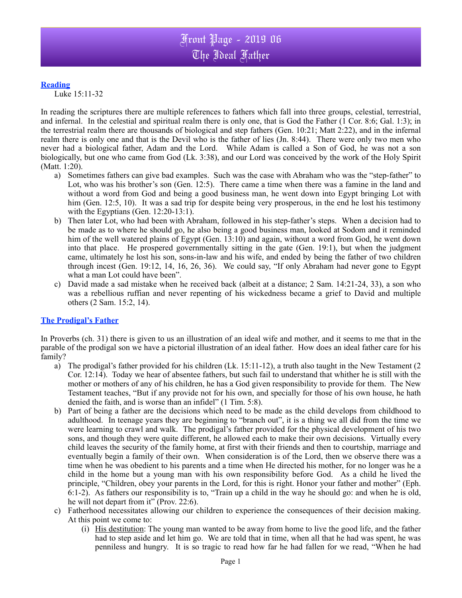## **Reading**

Luke 15:11-32

In reading the scriptures there are multiple references to fathers which fall into three groups, celestial, terrestrial, and infernal. In the celestial and spiritual realm there is only one, that is God the Father (1 Cor. 8:6; Gal. 1:3); in the terrestrial realm there are thousands of biological and step fathers (Gen. 10:21; Matt 2:22), and in the infernal realm there is only one and that is the Devil who is the father of lies (Jn. 8:44). There were only two men who never had a biological father, Adam and the Lord. While Adam is called a Son of God, he was not a son biologically, but one who came from God (Lk. 3:38), and our Lord was conceived by the work of the Holy Spirit (Matt. 1:20).

- a) Sometimes fathers can give bad examples. Such was the case with Abraham who was the "step-father" to Lot, who was his brother's son (Gen. 12:5). There came a time when there was a famine in the land and without a word from God and being a good business man, he went down into Egypt bringing Lot with him (Gen. 12:5, 10). It was a sad trip for despite being very prosperous, in the end he lost his testimony with the Egyptians (Gen. 12:20-13:1).
- b) Then later Lot, who had been with Abraham, followed in his step-father's steps. When a decision had to be made as to where he should go, he also being a good business man, looked at Sodom and it reminded him of the well watered plains of Egypt (Gen. 13:10) and again, without a word from God, he went down into that place. He prospered governmentally sitting in the gate (Gen. 19:1), but when the judgment came, ultimately he lost his son, sons-in-law and his wife, and ended by being the father of two children through incest (Gen. 19:12, 14, 16, 26, 36). We could say, "If only Abraham had never gone to Egypt what a man Lot could have been".
- c) David made a sad mistake when he received back (albeit at a distance; 2 Sam. 14:21-24, 33), a son who was a rebellious ruffian and never repenting of his wickedness became a grief to David and multiple others (2 Sam. 15:2, 14).

## **The Prodigal's Father**

In Proverbs (ch. 31) there is given to us an illustration of an ideal wife and mother, and it seems to me that in the parable of the prodigal son we have a pictorial illustration of an ideal father. How does an ideal father care for his family?

- a) The prodigal's father provided for his children (Lk. 15:11-12), a truth also taught in the New Testament (2 Cor. 12:14). Today we hear of absentee fathers, but such fail to understand that whither he is still with the mother or mothers of any of his children, he has a God given responsibility to provide for them. The New Testament teaches, "But if any provide not for his own, and specially for those of his own house, he hath denied the faith, and is worse than an infidel" (1 Tim. 5:8).
- b) Part of being a father are the decisions which need to be made as the child develops from childhood to adulthood. In teenage years they are beginning to "branch out", it is a thing we all did from the time we were learning to crawl and walk. The prodigal's father provided for the physical development of his two sons, and though they were quite different, he allowed each to make their own decisions. Virtually every child leaves the security of the family home, at first with their friends and then to courtship, marriage and eventually begin a family of their own. When consideration is of the Lord, then we observe there was a time when he was obedient to his parents and a time when He directed his mother, for no longer was he a child in the home but a young man with his own responsibility before God. As a child he lived the principle, "Children, obey your parents in the Lord, for this is right. Honor your father and mother" (Eph. 6:1-2). As fathers our responsibility is to, "Train up a child in the way he should go: and when he is old, he will not depart from it" (Prov. 22:6).
- c) Fatherhood necessitates allowing our children to experience the consequences of their decision making. At this point we come to:
	- (i) His destitution: The young man wanted to be away from home to live the good life, and the father had to step aside and let him go. We are told that in time, when all that he had was spent, he was penniless and hungry. It is so tragic to read how far he had fallen for we read, "When he had